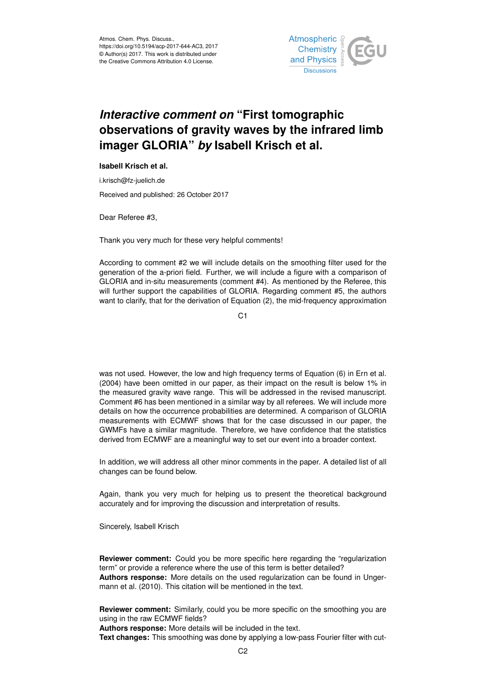

## *Interactive comment on* **"First tomographic observations of gravity waves by the infrared limb imager GLORIA"** *by* **Isabell Krisch et al.**

## **Isabell Krisch et al.**

i.krisch@fz-juelich.de

Received and published: 26 October 2017

Dear Referee #3,

Thank you very much for these very helpful comments!

According to comment #2 we will include details on the smoothing filter used for the generation of the a-priori field. Further, we will include a figure with a comparison of GLORIA and in-situ measurements (comment #4). As mentioned by the Referee, this will further support the capabilities of GLORIA. Regarding comment #5, the authors want to clarify, that for the derivation of Equation (2), the mid-frequency approximation

C<sub>1</sub>

was not used. However, the low and high frequency terms of Equation (6) in Ern et al. (2004) have been omitted in our paper, as their impact on the result is below 1% in the measured gravity wave range. This will be addressed in the revised manuscript. Comment #6 has been mentioned in a similar way by all referees. We will include more details on how the occurrence probabilities are determined. A comparison of GLORIA measurements with ECMWF shows that for the case discussed in our paper, the GWMFs have a similar magnitude. Therefore, we have confidence that the statistics derived from ECMWF are a meaningful way to set our event into a broader context.

In addition, we will address all other minor comments in the paper. A detailed list of all changes can be found below.

Again, thank you very much for helping us to present the theoretical background accurately and for improving the discussion and interpretation of results.

Sincerely, Isabell Krisch

**Reviewer comment:** Could you be more specific here regarding the "regularization" term" or provide a reference where the use of this term is better detailed? **Authors response:** More details on the used regularization can be found in Ungermann et al. (2010). This citation will be mentioned in the text.

**Reviewer comment:** Similarly, could you be more specific on the smoothing you are using in the raw ECMWF fields?

**Authors response:** More details will be included in the text.

**Text changes:** This smoothing was done by applying a low-pass Fourier filter with cut-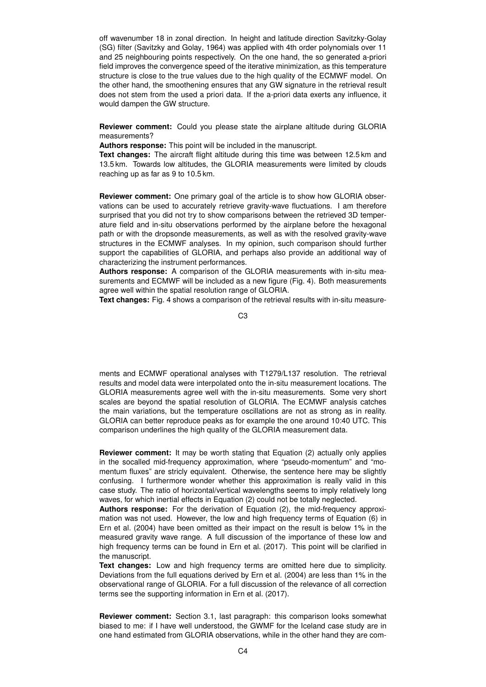off wavenumber 18 in zonal direction. In height and latitude direction Savitzky-Golay (SG) filter (Savitzky and Golay, 1964) was applied with 4th order polynomials over 11 and 25 neighbouring points respectively. On the one hand, the so generated a-priori field improves the convergence speed of the iterative minimization, as this temperature structure is close to the true values due to the high quality of the ECMWF model. On the other hand, the smoothening ensures that any GW signature in the retrieval result does not stem from the used a priori data. If the a-priori data exerts any influence, it would dampen the GW structure.

**Reviewer comment:** Could you please state the airplane altitude during GLORIA measurements?

**Authors response:** This point will be included in the manuscript.

**Text changes:** The aircraft flight altitude during this time was between 12.5 km and 13.5 km. Towards low altitudes, the GLORIA measurements were limited by clouds reaching up as far as 9 to 10.5 km.

**Reviewer comment:** One primary goal of the article is to show how GLORIA observations can be used to accurately retrieve gravity-wave fluctuations. I am therefore surprised that you did not try to show comparisons between the retrieved 3D temperature field and in-situ observations performed by the airplane before the hexagonal path or with the dropsonde measurements, as well as with the resolved gravity-wave structures in the ECMWF analyses. In my opinion, such comparison should further support the capabilities of GLORIA, and perhaps also provide an additional way of characterizing the instrument performances.

**Authors response:** A comparison of the GLORIA measurements with in-situ measurements and ECMWF will be included as a new figure (Fig. 4). Both measurements agree well within the spatial resolution range of GLORIA.

**Text changes:** Fig. 4 shows a comparison of the retrieval results with in-situ measure-

C3

ments and ECMWF operational analyses with T1279/L137 resolution. The retrieval results and model data were interpolated onto the in-situ measurement locations. The GLORIA measurements agree well with the in-situ measurements. Some very short scales are beyond the spatial resolution of GLORIA. The ECMWF analysis catches the main variations, but the temperature oscillations are not as strong as in reality. GLORIA can better reproduce peaks as for example the one around 10:40 UTC. This comparison underlines the high quality of the GLORIA measurement data.

**Reviewer comment:** It may be worth stating that Equation (2) actually only applies in the socalled mid-frequency approximation, where "pseudo-momentum" and "momentum fluxes" are stricly equivalent. Otherwise, the sentence here may be slightly confusing. I furthermore wonder whether this approximation is really valid in this case study. The ratio of horizontal/vertical wavelengths seems to imply relatively long waves, for which inertial effects in Equation (2) could not be totally neglected.

**Authors response:** For the derivation of Equation (2), the mid-frequency approximation was not used. However, the low and high frequency terms of Equation (6) in Ern et al. (2004) have been omitted as their impact on the result is below 1% in the measured gravity wave range. A full discussion of the importance of these low and high frequency terms can be found in Ern et al. (2017). This point will be clarified in the manuscript.

**Text changes:** Low and high frequency terms are omitted here due to simplicity. Deviations from the full equations derived by Ern et al. (2004) are less than 1% in the observational range of GLORIA. For a full discussion of the relevance of all correction terms see the supporting information in Ern et al. (2017).

**Reviewer comment:** Section 3.1, last paragraph: this comparison looks somewhat biased to me: if I have well understood, the GWMF for the Iceland case study are in one hand estimated from GLORIA observations, while in the other hand they are com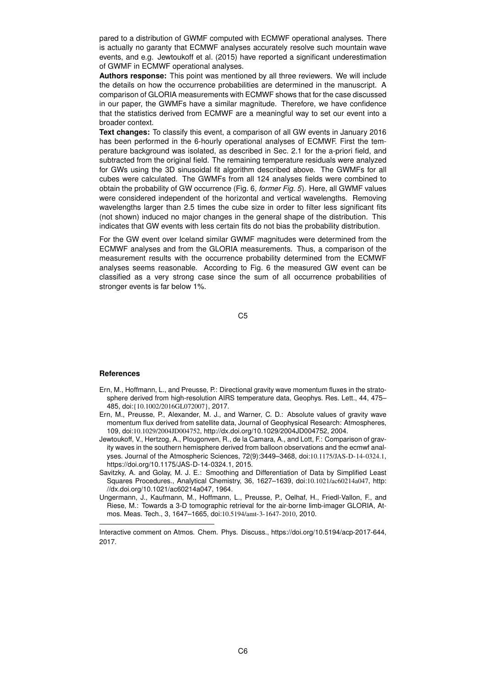pared to a distribution of GWMF computed with ECMWF operational analyses. There is actually no garanty that ECMWF analyses accurately resolve such mountain wave events, and e.g. Jewtoukoff et al. (2015) have reported a significant underestimation of GWMF in ECMWF operational analyses.

**Authors response:** This point was mentioned by all three reviewers. We will include the details on how the occurrence probabilities are determined in the manuscript. A comparison of GLORIA measurements with ECMWF shows that for the case discussed in our paper, the GWMFs have a similar magnitude. Therefore, we have confidence that the statistics derived from ECMWF are a meaningful way to set our event into a broader context.

**Text changes:** To classify this event, a comparison of all GW events in January 2016 has been performed in the 6-hourly operational analyses of ECMWF. First the temperature background was isolated, as described in Sec. 2.1 for the a-priori field, and subtracted from the original field. The remaining temperature residuals were analyzed for GWs using the 3D sinusoidal fit algorithm described above. The GWMFs for all cubes were calculated. The GWMFs from all 124 analyses fields were combined to obtain the probability of GW occurrence (Fig. 6*, former Fig. 5*). Here, all GWMF values were considered independent of the horizontal and vertical wavelengths. Removing wavelengths larger than 2.5 times the cube size in order to filter less significant fits (not shown) induced no major changes in the general shape of the distribution. This indicates that GW events with less certain fits do not bias the probability distribution.

For the GW event over Iceland similar GWMF magnitudes were determined from the ECMWF analyses and from the GLORIA measurements. Thus, a comparison of the measurement results with the occurrence probability determined from the ECMWF analyses seems reasonable. According to Fig. 6 the measured GW event can be classified as a very strong case since the sum of all occurrence probabilities of stronger events is far below 1%.

C5

## **References**

- Ern, M., Hoffmann, L., and Preusse, P.: Directional gravity wave momentum fluxes in the stratosphere derived from high-resolution AIRS temperature data, Geophys. Res. Lett., 44, 475– 485, doi:{10.1002/2016GL072007}, 2017.
- Ern, M., Preusse, P., Alexander, M. J., and Warner, C. D.: Absolute values of gravity wave momentum flux derived from satellite data, Journal of Geophysical Research: Atmospheres, 109, doi:10.1029/2004JD004752, http://dx.doi.org/10.1029/2004JD004752, 2004.
- Jewtoukoff, V., Hertzog, A., Plougonven, R., de la Camara, A., and Lott, F.: Comparison of gravity waves in the southern hemisphere derived from balloon observations and the ecmwf analyses. Journal of the Atmospheric Sciences, 72(9):3449–3468, doi:10.1175/JAS-D-14-0324.1, https://doi.org/10.1175/JAS-D-14-0324.1, 2015.
- Savitzky, A. and Golay, M. J. E.: Smoothing and Differentiation of Data by Simplified Least Squares Procedures., Analytical Chemistry, 36, 1627–1639, doi:10.1021/ac60214a047, http: //dx.doi.org/10.1021/ac60214a047, 1964.
- Ungermann, J., Kaufmann, M., Hoffmann, L., Preusse, P., Oelhaf, H., Friedl-Vallon, F., and Riese, M.: Towards a 3-D tomographic retrieval for the air-borne limb-imager GLORIA, Atmos. Meas. Tech., 3, 1647–1665, doi:10.5194/amt-3-1647-2010, 2010.

Interactive comment on Atmos. Chem. Phys. Discuss., https://doi.org/10.5194/acp-2017-644, 2017.